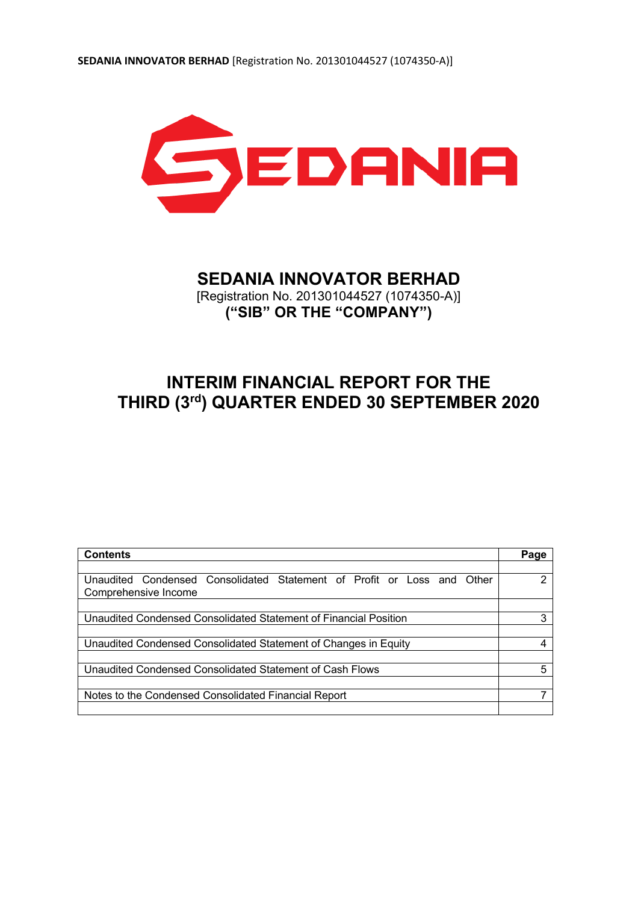

# **SEDANIA INNOVATOR BERHAD**

[Registration No. 201301044527 (1074350-A)] **("SIB" OR THE "COMPANY")**

# **INTERIM FINANCIAL REPORT FOR THE THIRD (3rd) QUARTER ENDED 30 SEPTEMBER 2020**

| <b>Contents</b>                                                           | Page |
|---------------------------------------------------------------------------|------|
|                                                                           |      |
| Unaudited Condensed Consolidated Statement of Profit or Loss and<br>Other | າ    |
| Comprehensive Income                                                      |      |
|                                                                           |      |
| Unaudited Condensed Consolidated Statement of Financial Position          | 3    |
|                                                                           |      |
| Unaudited Condensed Consolidated Statement of Changes in Equity           |      |
|                                                                           |      |
| Unaudited Condensed Consolidated Statement of Cash Flows                  | 5    |
|                                                                           |      |
| Notes to the Condensed Consolidated Financial Report                      |      |
|                                                                           |      |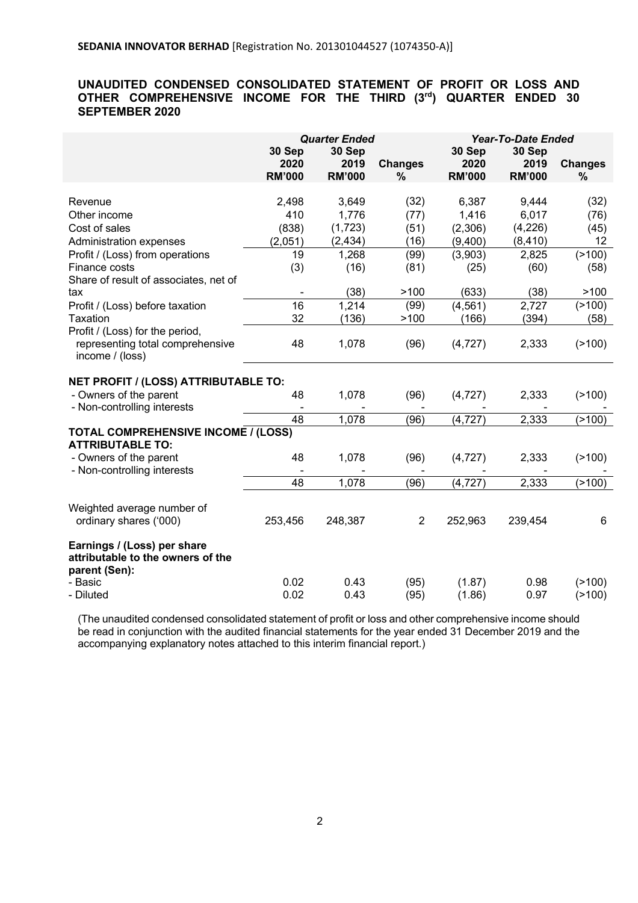## **UNAUDITED CONDENSED CONSOLIDATED STATEMENT OF PROFIT OR LOSS AND OTHER COMPREHENSIVE INCOME FOR THE THIRD (3rd ) QUARTER ENDED 30 SEPTEMBER 2020**

| <b>Quarter Ended</b><br><b>Year-To-Date Ended</b>                                                                  |                |  |  |
|--------------------------------------------------------------------------------------------------------------------|----------------|--|--|
| 30 Sep<br>30 Sep<br>30 Sep<br>30 Sep                                                                               |                |  |  |
| 2020<br>2019<br>2020<br>2019<br><b>Changes</b>                                                                     | <b>Changes</b> |  |  |
| <b>RM'000</b><br><b>RM'000</b><br>%<br><b>RM'000</b><br><b>RM'000</b>                                              | %              |  |  |
|                                                                                                                    |                |  |  |
| 2,498<br>3,649<br>(32)<br>6,387<br>9,444<br>Revenue                                                                | (32)           |  |  |
| 410<br>1,776<br>1,416<br>6,017<br>Other income<br>(77)                                                             | (76)           |  |  |
| (4,226)<br>(838)<br>(1, 723)<br>(51)<br>Cost of sales<br>(2,306)                                                   | (45)           |  |  |
| (2, 434)<br>(2,051)<br>(16)<br>(9,400)<br>(8, 410)<br>Administration expenses                                      | 12             |  |  |
| 19<br>(99)<br>(3,903)<br>2,825<br>Profit / (Loss) from operations<br>1,268                                         | (2100)         |  |  |
| (81)<br>Finance costs<br>(3)<br>(16)<br>(60)<br>(25)                                                               | (58)           |  |  |
| Share of result of associates, net of                                                                              |                |  |  |
| >100<br>(633)<br>(38)<br>(38)<br>tax                                                                               | >100           |  |  |
| 16<br>2,727<br>1,214<br>(99)<br>(4, 561)<br>Profit / (Loss) before taxation                                        | (2100)         |  |  |
| 32<br>>100<br>(136)<br>(166)<br>(394)<br>Taxation                                                                  | (58)           |  |  |
| Profit / (Loss) for the period,                                                                                    |                |  |  |
| 48<br>1,078<br>(96)<br>representing total comprehensive<br>(4, 727)<br>2,333                                       | (2100)         |  |  |
| income / (loss)                                                                                                    |                |  |  |
|                                                                                                                    |                |  |  |
| NET PROFIT / (LOSS) ATTRIBUTABLE TO:                                                                               |                |  |  |
| 48<br>1,078<br>- Owners of the parent<br>(96)<br>(4, 727)<br>2,333                                                 | (2100)         |  |  |
| - Non-controlling interests                                                                                        |                |  |  |
| 2,333<br>48<br>1,078<br>(96)<br>(4, 727)                                                                           | (2100)         |  |  |
| <b>TOTAL COMPREHENSIVE INCOME / (LOSS)</b>                                                                         |                |  |  |
| <b>ATTRIBUTABLE TO:</b>                                                                                            |                |  |  |
| 48<br>1,078<br>- Owners of the parent<br>(96)<br>(4, 727)<br>2,333                                                 | (2100)         |  |  |
| - Non-controlling interests                                                                                        |                |  |  |
| 48<br>2,333<br>1,078<br>(96)<br>(4, 727)                                                                           | (2100)         |  |  |
|                                                                                                                    |                |  |  |
| Weighted average number of<br>ordinary shares ('000)<br>253,456<br>248,387<br>$\overline{2}$<br>252,963<br>239,454 | 6              |  |  |
|                                                                                                                    |                |  |  |
| Earnings / (Loss) per share                                                                                        |                |  |  |
|                                                                                                                    |                |  |  |
|                                                                                                                    |                |  |  |
| attributable to the owners of the                                                                                  |                |  |  |
| parent (Sen):<br>0.02<br>- Basic<br>0.43<br>(95)<br>(1.87)<br>0.98                                                 | (2100)         |  |  |

(The unaudited condensed consolidated statement of profit or loss and other comprehensive income should be read in conjunction with the audited financial statements for the year ended 31 December 2019 and the accompanying explanatory notes attached to this interim financial report.)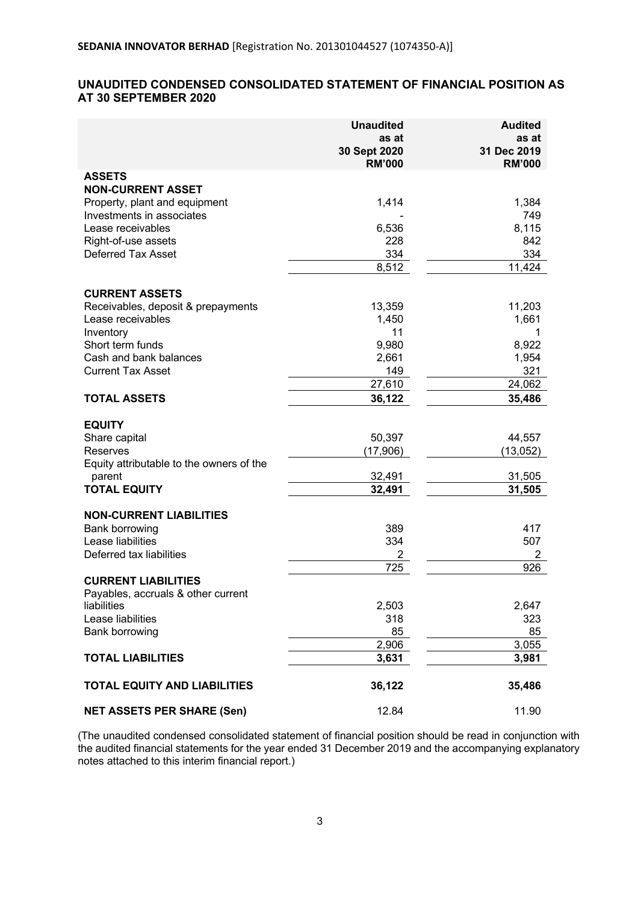# **UNAUDITED CONDENSED CONSOLIDATED STATEMENT OF FINANCIAL POSITION AS AT 30 SEPTEMBER 2020**

|                                          | <b>Unaudited</b>              | <b>Audited</b>               |
|------------------------------------------|-------------------------------|------------------------------|
|                                          | as at                         | as at                        |
|                                          | 30 Sept 2020<br><b>RM'000</b> | 31 Dec 2019<br><b>RM'000</b> |
| <b>ASSETS</b>                            |                               |                              |
| <b>NON-CURRENT ASSET</b>                 |                               |                              |
| Property, plant and equipment            | 1,414                         | 1,384                        |
| Investments in associates                |                               | 749                          |
| Lease receivables                        | 6,536                         | 8,115                        |
| Right-of-use assets                      | 228                           | 842                          |
| <b>Deferred Tax Asset</b>                | 334                           | 334                          |
|                                          | 8,512                         | 11,424                       |
| <b>CURRENT ASSETS</b>                    |                               |                              |
| Receivables, deposit & prepayments       | 13,359                        | 11,203                       |
| Lease receivables                        | 1,450                         | 1,661                        |
| Inventory                                | 11                            |                              |
| Short term funds                         | 9,980                         | 8,922                        |
| Cash and bank balances                   | 2,661                         | 1,954                        |
| <b>Current Tax Asset</b>                 | 149                           | 321                          |
|                                          | 27,610                        | 24,062                       |
| <b>TOTAL ASSETS</b>                      | 36,122                        | 35,486                       |
| <b>EQUITY</b>                            |                               |                              |
| Share capital                            | 50,397                        | 44,557                       |
| <b>Reserves</b>                          | (17,906)                      | (13, 052)                    |
| Equity attributable to the owners of the |                               |                              |
| parent                                   | 32,491                        | 31,505                       |
| <b>TOTAL EQUITY</b>                      | 32,491                        | 31,505                       |
|                                          |                               |                              |
| <b>NON-CURRENT LIABILITIES</b>           |                               |                              |
| Bank borrowing<br>Lease liabilities      | 389<br>334                    | 417<br>507                   |
| Deferred tax liabilities                 | 2                             | 2                            |
|                                          | 725                           | 926                          |
| <b>CURRENT LIABILITIES</b>               |                               |                              |
| Payables, accruals & other current       |                               |                              |
| liabilities                              | 2,503                         | 2,647                        |
| Lease liabilities                        | 318                           | 323                          |
| Bank borrowing                           | 85                            | 85                           |
|                                          | 2,906                         | 3,055                        |
| <b>TOTAL LIABILITIES</b>                 | 3,631                         | 3,981                        |
| <b>TOTAL EQUITY AND LIABILITIES</b>      | 36,122                        | 35,486                       |
| <b>NET ASSETS PER SHARE (Sen)</b>        | 12.84                         | 11.90                        |

(The unaudited condensed consolidated statement of financial position should be read in conjunction with the audited financial statements for the year ended 31 December 2019 and the accompanying explanatory notes attached to this interim financial report.)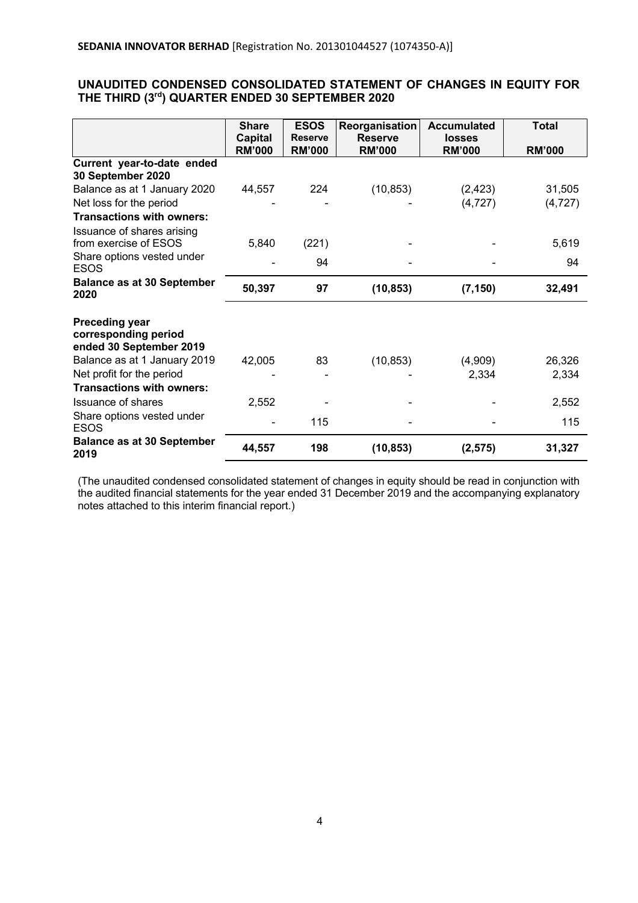## **UNAUDITED CONDENSED CONSOLIDATED STATEMENT OF CHANGES IN EQUITY FOR THE THIRD (3rd ) QUARTER ENDED 30 SEPTEMBER 2020**

|                                                                          | <b>Share</b>                    | <b>ESOS</b>                     | Reorganisation                  | <b>Accumulated</b>      | <b>Total</b>  |
|--------------------------------------------------------------------------|---------------------------------|---------------------------------|---------------------------------|-------------------------|---------------|
|                                                                          | <b>Capital</b><br><b>RM'000</b> | <b>Reserve</b><br><b>RM'000</b> | <b>Reserve</b><br><b>RM'000</b> | losses<br><b>RM'000</b> | <b>RM'000</b> |
| Current year-to-date ended<br>30 September 2020                          |                                 |                                 |                                 |                         |               |
| Balance as at 1 January 2020                                             | 44,557                          | 224                             | (10, 853)                       | (2, 423)                | 31,505        |
| Net loss for the period                                                  |                                 |                                 |                                 | (4, 727)                | (4, 727)      |
| Transactions with owners:                                                |                                 |                                 |                                 |                         |               |
| Issuance of shares arising                                               |                                 |                                 |                                 |                         |               |
| from exercise of ESOS                                                    | 5,840                           | (221)                           |                                 |                         | 5,619         |
| Share options vested under<br><b>ESOS</b>                                |                                 | 94                              |                                 |                         | 94            |
| <b>Balance as at 30 September</b><br>2020                                | 50,397                          | 97                              | (10, 853)                       | (7, 150)                | 32,491        |
| <b>Preceding year</b><br>corresponding period<br>ended 30 September 2019 |                                 |                                 |                                 |                         |               |
| Balance as at 1 January 2019                                             | 42,005                          | 83                              | (10, 853)                       | (4,909)                 | 26,326        |
| Net profit for the period                                                |                                 |                                 |                                 | 2,334                   | 2,334         |
| <b>Transactions with owners:</b>                                         |                                 |                                 |                                 |                         |               |
| Issuance of shares                                                       | 2,552                           |                                 |                                 |                         | 2,552         |
| Share options vested under<br><b>ESOS</b>                                |                                 | 115                             |                                 |                         | 115           |
| <b>Balance as at 30 September</b><br>2019                                | 44,557                          | 198                             | (10, 853)                       | (2, 575)                | 31,327        |

(The unaudited condensed consolidated statement of changes in equity should be read in conjunction with the audited financial statements for the year ended 31 December 2019 and the accompanying explanatory notes attached to this interim financial report.)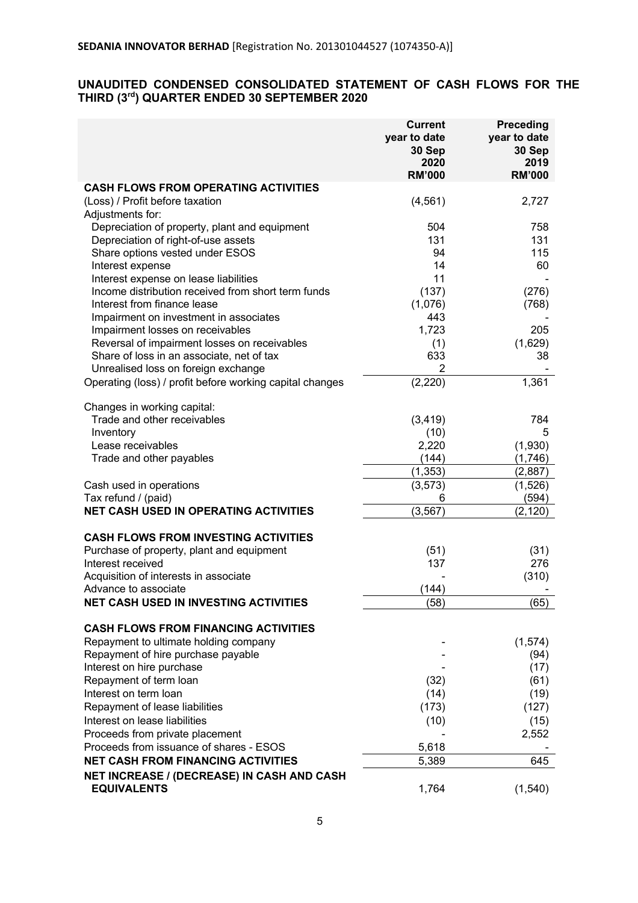## **UNAUDITED CONDENSED CONSOLIDATED STATEMENT OF CASH FLOWS FOR THE THIRD (3rd ) QUARTER ENDED 30 SEPTEMBER 2020**

|                                                          | <b>Current</b><br>year to date<br>30 Sep<br>2020<br><b>RM'000</b> | Preceding<br>year to date<br>30 Sep<br>2019<br><b>RM'000</b> |
|----------------------------------------------------------|-------------------------------------------------------------------|--------------------------------------------------------------|
| <b>CASH FLOWS FROM OPERATING ACTIVITIES</b>              |                                                                   |                                                              |
| (Loss) / Profit before taxation                          | (4, 561)                                                          | 2,727                                                        |
| Adjustments for:                                         |                                                                   |                                                              |
| Depreciation of property, plant and equipment            | 504                                                               | 758                                                          |
| Depreciation of right-of-use assets                      | 131                                                               | 131                                                          |
| Share options vested under ESOS                          | 94                                                                | 115                                                          |
| Interest expense                                         | 14                                                                | 60                                                           |
| Interest expense on lease liabilities                    | 11                                                                |                                                              |
| Income distribution received from short term funds       | (137)                                                             | (276)                                                        |
| Interest from finance lease                              | (1,076)                                                           | (768)                                                        |
| Impairment on investment in associates                   | 443                                                               |                                                              |
| Impairment losses on receivables                         | 1,723                                                             | 205                                                          |
| Reversal of impairment losses on receivables             | (1)                                                               | (1,629)                                                      |
| Share of loss in an associate, net of tax                | 633                                                               | 38                                                           |
| Unrealised loss on foreign exchange                      | $\overline{2}$                                                    |                                                              |
| Operating (loss) / profit before working capital changes | (2, 220)                                                          | 1,361                                                        |
| Changes in working capital:                              |                                                                   |                                                              |
| Trade and other receivables                              | (3, 419)                                                          | 784                                                          |
| Inventory                                                | (10)                                                              | 5                                                            |
| Lease receivables                                        | 2,220                                                             | (1,930)                                                      |
| Trade and other payables                                 | (144)                                                             | (1,746)                                                      |
|                                                          | (1, 353)                                                          | (2,887)                                                      |
| Cash used in operations                                  | (3, 573)                                                          | (1,526)                                                      |
| Tax refund / (paid)                                      | 6                                                                 | (594)                                                        |
| <b>NET CASH USED IN OPERATING ACTIVITIES</b>             | (3, 567)                                                          | (2, 120)                                                     |
| <b>CASH FLOWS FROM INVESTING ACTIVITIES</b>              |                                                                   |                                                              |
| Purchase of property, plant and equipment                | (51)                                                              | (31)                                                         |
| Interest received                                        | 137                                                               | 276                                                          |
| Acquisition of interests in associate                    |                                                                   | (310)                                                        |
| Advance to associate                                     | (144)                                                             |                                                              |
| NET CASH USED IN INVESTING ACTIVITIES                    | (58)                                                              | (65)                                                         |
| <b>CASH FLOWS FROM FINANCING ACTIVITIES</b>              |                                                                   |                                                              |
| Repayment to ultimate holding company                    |                                                                   | (1,574)                                                      |
| Repayment of hire purchase payable                       |                                                                   | (94)                                                         |
| Interest on hire purchase                                |                                                                   | (17)                                                         |
| Repayment of term loan                                   | (32)                                                              | (61)                                                         |
| Interest on term loan                                    | (14)                                                              | (19)                                                         |
| Repayment of lease liabilities                           | (173)                                                             | (127)                                                        |
| Interest on lease liabilities                            | (10)                                                              | (15)                                                         |
| Proceeds from private placement                          |                                                                   | 2,552                                                        |
| Proceeds from issuance of shares - ESOS                  | 5,618                                                             |                                                              |
| <b>NET CASH FROM FINANCING ACTIVITIES</b>                | 5,389                                                             | 645                                                          |
| NET INCREASE / (DECREASE) IN CASH AND CASH               |                                                                   |                                                              |
| <b>EQUIVALENTS</b>                                       | 1,764                                                             | (1,540)                                                      |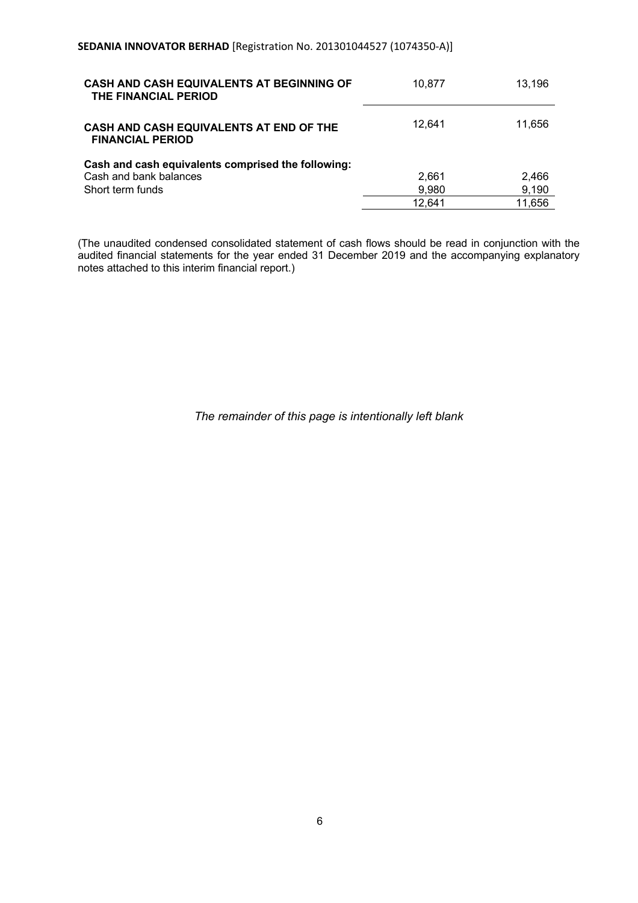| <b>CASH AND CASH EQUIVALENTS AT BEGINNING OF</b><br>THE FINANCIAL PERIOD | 10.877 | 13.196 |
|--------------------------------------------------------------------------|--------|--------|
| CASH AND CASH EQUIVALENTS AT END OF THE<br><b>FINANCIAL PERIOD</b>       | 12.641 | 11,656 |
| Cash and cash equivalents comprised the following:                       |        |        |
| Cash and bank balances                                                   | 2,661  | 2,466  |
| Short term funds                                                         | 9,980  | 9,190  |
|                                                                          | 12.641 | 11,656 |

(The unaudited condensed consolidated statement of cash flows should be read in conjunction with the audited financial statements for the year ended 31 December 2019 and the accompanying explanatory notes attached to this interim financial report.)

*The remainder of this page is intentionally left blank*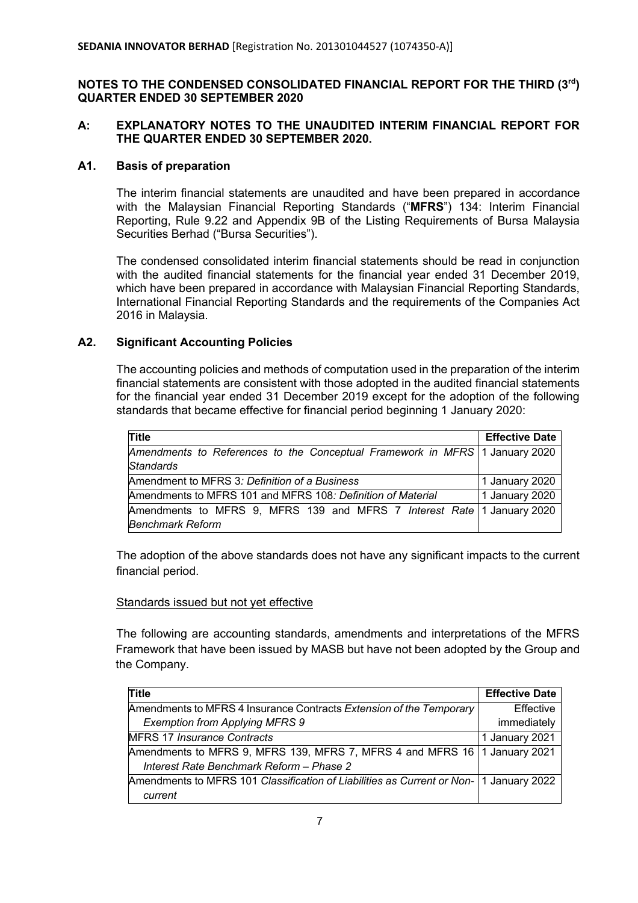# **NOTES TO THE CONDENSED CONSOLIDATED FINANCIAL REPORT FOR THE THIRD (3rd ) QUARTER ENDED 30 SEPTEMBER 2020**

# **A: EXPLANATORY NOTES TO THE UNAUDITED INTERIM FINANCIAL REPORT FOR THE QUARTER ENDED 30 SEPTEMBER 2020.**

## **A1. Basis of preparation**

The interim financial statements are unaudited and have been prepared in accordance with the Malaysian Financial Reporting Standards ("**MFRS**") 134: Interim Financial Reporting, Rule 9.22 and Appendix 9B of the Listing Requirements of Bursa Malaysia Securities Berhad ("Bursa Securities").

The condensed consolidated interim financial statements should be read in conjunction with the audited financial statements for the financial year ended 31 December 2019, which have been prepared in accordance with Malaysian Financial Reporting Standards, International Financial Reporting Standards and the requirements of the Companies Act 2016 in Malaysia.

# **A2. Significant Accounting Policies**

The accounting policies and methods of computation used in the preparation of the interim financial statements are consistent with those adopted in the audited financial statements for the financial year ended 31 December 2019 except for the adoption of the following standards that became effective for financial period beginning 1 January 2020:

| Title                                                                       | <b>Effective Date</b> |
|-----------------------------------------------------------------------------|-----------------------|
| Amendments to References to the Conceptual Framework in MFRS 1 January 2020 |                       |
| Standards                                                                   |                       |
| Amendment to MFRS 3: Definition of a Business                               | 1 January 2020        |
| Amendments to MFRS 101 and MFRS 108: Definition of Material                 | 1 January 2020        |
| Amendments to MFRS 9, MFRS 139 and MFRS 7 Interest Rate 1 January 2020      |                       |
| <b>Benchmark Reform</b>                                                     |                       |

The adoption of the above standards does not have any significant impacts to the current financial period.

#### Standards issued but not yet effective

The following are accounting standards, amendments and interpretations of the MFRS Framework that have been issued by MASB but have not been adopted by the Group and the Company.

| Title                                                                                    | <b>Effective Date</b> |
|------------------------------------------------------------------------------------------|-----------------------|
| Amendments to MFRS 4 Insurance Contracts Extension of the Temporary                      | Effective             |
| <b>Exemption from Applying MFRS 9</b>                                                    | immediately           |
| <b>MFRS 17 Insurance Contracts</b>                                                       | 1 January 2021        |
| Amendments to MFRS 9, MFRS 139, MFRS 7, MFRS 4 and MFRS 16   1 January 2021              |                       |
| Interest Rate Benchmark Reform - Phase 2                                                 |                       |
| Amendments to MFRS 101 Classification of Liabilities as Current or Non-   1 January 2022 |                       |
| current                                                                                  |                       |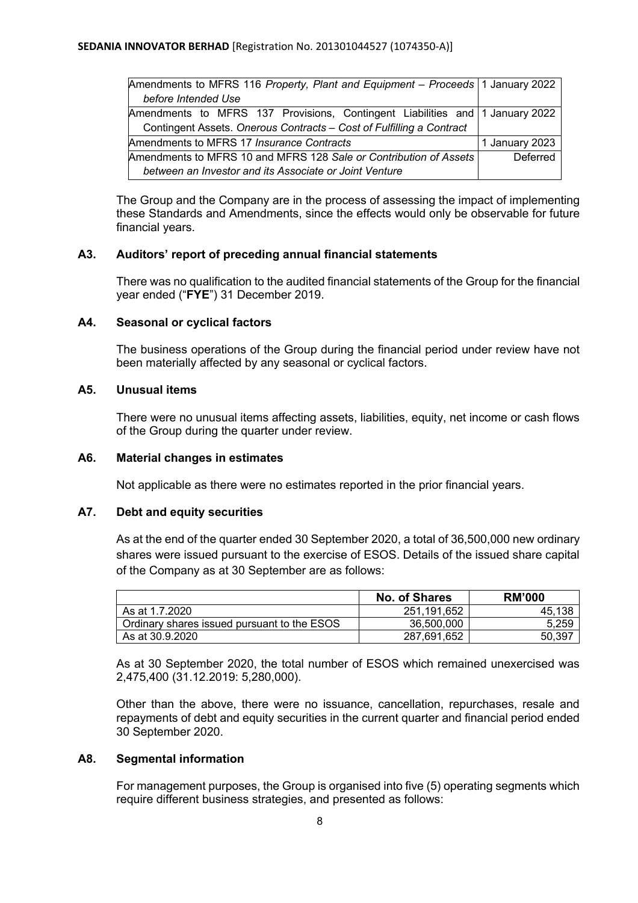| Amendments to MFRS 116 Property, Plant and Equipment - Proceeds   1 January 2022 |                |
|----------------------------------------------------------------------------------|----------------|
| before Intended Use                                                              |                |
| Amendments to MFRS 137 Provisions, Contingent Liabilities and   1 January 2022   |                |
| Contingent Assets. Onerous Contracts - Cost of Fulfilling a Contract             |                |
| Amendments to MFRS 17 Insurance Contracts                                        | 1 January 2023 |
| Amendments to MFRS 10 and MFRS 128 Sale or Contribution of Assets                | Deferred       |
| between an Investor and its Associate or Joint Venture                           |                |

The Group and the Company are in the process of assessing the impact of implementing these Standards and Amendments, since the effects would only be observable for future financial years.

## **A3. Auditors' report of preceding annual financial statements**

There was no qualification to the audited financial statements of the Group for the financial year ended ("**FYE**") 31 December 2019.

## **A4. Seasonal or cyclical factors**

The business operations of the Group during the financial period under review have not been materially affected by any seasonal or cyclical factors.

## **A5. Unusual items**

There were no unusual items affecting assets, liabilities, equity, net income or cash flows of the Group during the quarter under review.

## **A6. Material changes in estimates**

Not applicable as there were no estimates reported in the prior financial years.

# **A7. Debt and equity securities**

As at the end of the quarter ended 30 September 2020, a total of 36,500,000 new ordinary shares were issued pursuant to the exercise of ESOS. Details of the issued share capital of the Company as at 30 September are as follows:

|                                             | <b>No. of Shares</b> | <b>RM'000</b> |
|---------------------------------------------|----------------------|---------------|
| As at 1.7.2020                              | 251.191.652          | .138<br>45.   |
| Ordinary shares issued pursuant to the ESOS | 36,500,000           | 5.259         |
| As at 30.9.2020                             | 287,691,652          | 50,397        |

As at 30 September 2020, the total number of ESOS which remained unexercised was 2,475,400 (31.12.2019: 5,280,000).

Other than the above, there were no issuance, cancellation, repurchases, resale and repayments of debt and equity securities in the current quarter and financial period ended 30 September 2020.

#### **A8. Segmental information**

For management purposes, the Group is organised into five (5) operating segments which require different business strategies, and presented as follows: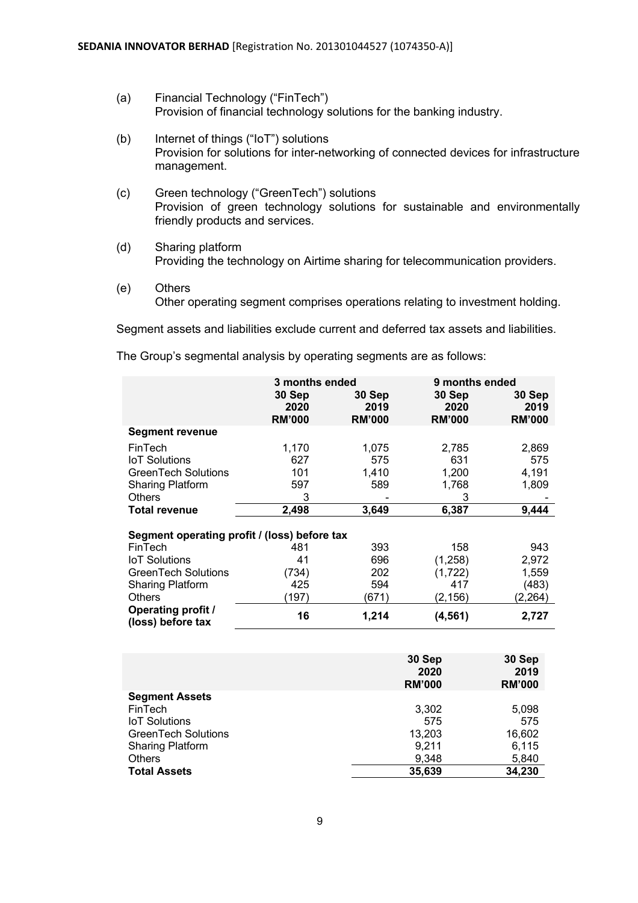- (a) Financial Technology ("FinTech") Provision of financial technology solutions for the banking industry.
- (b) Internet of things ("IoT") solutions Provision for solutions for inter-networking of connected devices for infrastructure management.
- (c) Green technology ("GreenTech") solutions Provision of green technology solutions for sustainable and environmentally friendly products and services.
- (d) Sharing platform Providing the technology on Airtime sharing for telecommunication providers.
- (e) Others Other operating segment comprises operations relating to investment holding.

Segment assets and liabilities exclude current and deferred tax assets and liabilities.

The Group's segmental analysis by operating segments are as follows:

|                                                | 3 months ended        |                       | 9 months ended        |                       |
|------------------------------------------------|-----------------------|-----------------------|-----------------------|-----------------------|
|                                                | 30 Sep                | 30 Sep                | 30 Sep                | 30 Sep                |
|                                                | 2020<br><b>RM'000</b> | 2019<br><b>RM'000</b> | 2020<br><b>RM'000</b> | 2019<br><b>RM'000</b> |
| <b>Segment revenue</b>                         |                       |                       |                       |                       |
| FinTech                                        | 1,170                 | 1,075                 | 2,785                 | 2,869                 |
| <b>IoT</b> Solutions                           | 627                   | 575                   | 631                   | 575                   |
| <b>GreenTech Solutions</b>                     | 101                   | 1,410                 | 1,200                 | 4,191                 |
| <b>Sharing Platform</b>                        | 597                   | 589                   | 1,768                 | 1,809                 |
| <b>Others</b>                                  | 3                     |                       | 3                     |                       |
| <b>Total revenue</b>                           | 2,498                 | 3,649                 | 6,387                 | 9,444                 |
|                                                |                       |                       |                       |                       |
| Segment operating profit / (loss) before tax   |                       |                       |                       |                       |
| FinTech                                        | 481                   | 393                   | 158                   | 943                   |
| <b>IoT</b> Solutions                           | 41                    | 696                   | (1,258)               | 2,972                 |
| <b>GreenTech Solutions</b>                     | (734)                 | 202                   | (1, 722)              | 1,559                 |
| Sharing Platform                               | 425                   | 594                   | 417                   | (483)                 |
| <b>Others</b>                                  | (197)                 | (671)                 | (2, 156)              | (2,264)               |
| <b>Operating profit /</b><br>(loss) before tax | 16                    | 1,214                 | (4, 561)              | 2,727                 |
|                                                |                       |                       |                       |                       |

|                            | 30 Sep<br>2020<br><b>RM'000</b> | 30 Sep<br>2019<br><b>RM'000</b> |
|----------------------------|---------------------------------|---------------------------------|
| <b>Segment Assets</b>      |                                 |                                 |
| FinTech                    | 3,302                           | 5,098                           |
| <b>IoT</b> Solutions       | 575                             | 575                             |
| <b>GreenTech Solutions</b> | 13,203                          | 16,602                          |
| <b>Sharing Platform</b>    | 9,211                           | 6,115                           |
| <b>Others</b>              | 9,348                           | 5,840                           |
| <b>Total Assets</b>        | 35,639                          | 34,230                          |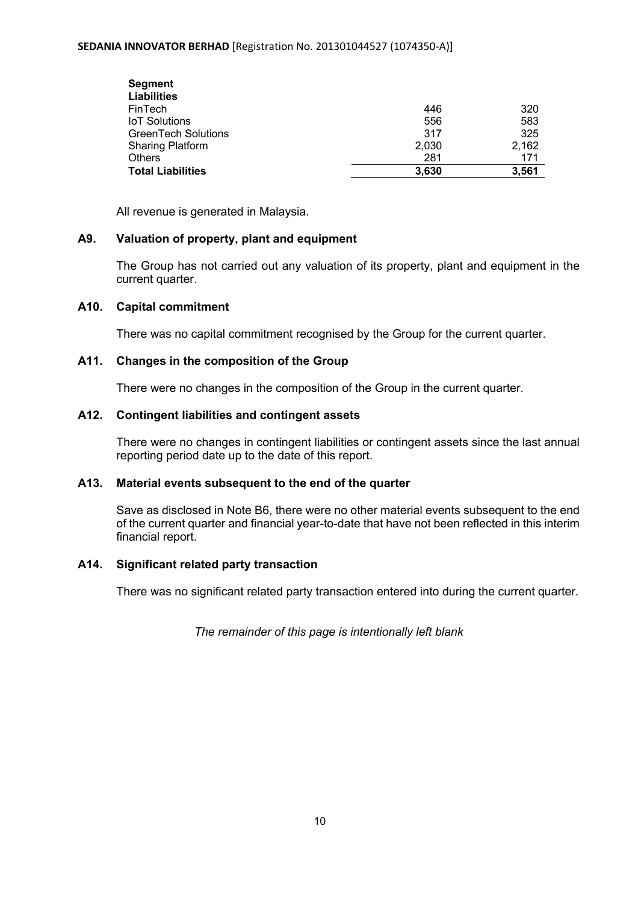#### **SEDANIA INNOVATOR BERHAD** [Registration No. 201301044527 (1074350-A)]

| <b>Segment</b>             |       |       |
|----------------------------|-------|-------|
| <b>Liabilities</b>         |       |       |
| FinTech                    | 446   | 320   |
| <b>IoT Solutions</b>       | 556   | 583   |
| <b>GreenTech Solutions</b> | 317   | 325   |
| <b>Sharing Platform</b>    | 2,030 | 2,162 |
| Others                     | 281   | 171   |
| <b>Total Liabilities</b>   | 3.630 | 3.561 |

All revenue is generated in Malaysia.

# **A9. Valuation of property, plant and equipment**

The Group has not carried out any valuation of its property, plant and equipment in the current quarter.

## **A10. Capital commitment**

There was no capital commitment recognised by the Group for the current quarter.

# **A11. Changes in the composition of the Group**

There were no changes in the composition of the Group in the current quarter.

# **A12. Contingent liabilities and contingent assets**

There were no changes in contingent liabilities or contingent assets since the last annual reporting period date up to the date of this report.

#### **A13. Material events subsequent to the end of the quarter**

Save as disclosed in Note B6, there were no other material events subsequent to the end of the current quarter and financial year-to-date that have not been reflected in this interim financial report.

#### **A14. Significant related party transaction**

There was no significant related party transaction entered into during the current quarter.

*The remainder of this page is intentionally left blank*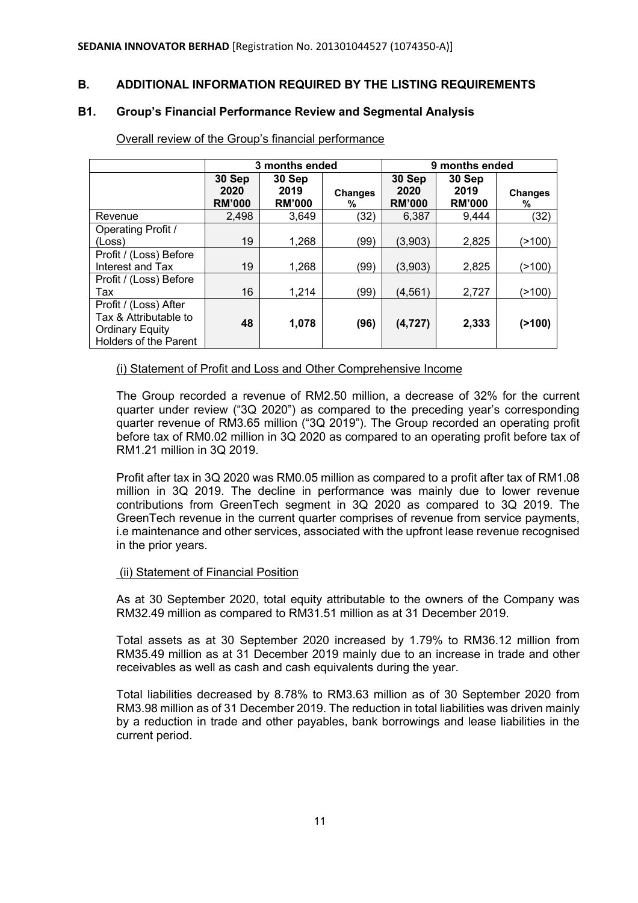# **B. ADDITIONAL INFORMATION REQUIRED BY THE LISTING REQUIREMENTS**

# **B1. Group's Financial Performance Review and Segmental Analysis**

|                                                                                                   | 3 months ended                  |                                 |                     | 9 months ended                  |                                 |                     |
|---------------------------------------------------------------------------------------------------|---------------------------------|---------------------------------|---------------------|---------------------------------|---------------------------------|---------------------|
|                                                                                                   | 30 Sep<br>2020<br><b>RM'000</b> | 30 Sep<br>2019<br><b>RM'000</b> | <b>Changes</b><br>℅ | 30 Sep<br>2020<br><b>RM'000</b> | 30 Sep<br>2019<br><b>RM'000</b> | <b>Changes</b><br>℅ |
| Revenue                                                                                           | 2,498                           | 3.649                           | (32)                | 6,387                           | 9,444                           | (32)                |
| <b>Operating Profit /</b>                                                                         |                                 |                                 |                     |                                 |                                 |                     |
| (Loss)                                                                                            | 19                              | 1,268                           | (99)                | (3,903)                         | 2,825                           | (>100)              |
| Profit / (Loss) Before<br>Interest and Tax                                                        | 19                              | 1,268                           | (99)                | (3,903)                         | 2,825                           | (>100)              |
| Profit / (Loss) Before<br>Tax                                                                     | 16                              | 1,214                           | (99)                | (4, 561)                        | 2,727                           | (>100)              |
| Profit / (Loss) After<br>Tax & Attributable to<br><b>Ordinary Equity</b><br>Holders of the Parent | 48                              | 1,078                           | (96)                | (4, 727)                        | 2,333                           | (2100)              |

## Overall review of the Group's financial performance

## (i) Statement of Profit and Loss and Other Comprehensive Income

The Group recorded a revenue of RM2.50 million, a decrease of 32% for the current quarter under review ("3Q 2020") as compared to the preceding year's corresponding quarter revenue of RM3.65 million ("3Q 2019"). The Group recorded an operating profit before tax of RM0.02 million in 3Q 2020 as compared to an operating profit before tax of RM1.21 million in 3Q 2019.

Profit after tax in 3Q 2020 was RM0.05 million as compared to a profit after tax of RM1.08 million in 3Q 2019. The decline in performance was mainly due to lower revenue contributions from GreenTech segment in 3Q 2020 as compared to 3Q 2019. The GreenTech revenue in the current quarter comprises of revenue from service payments, i.e maintenance and other services, associated with the upfront lease revenue recognised in the prior years.

#### (ii) Statement of Financial Position

As at 30 September 2020, total equity attributable to the owners of the Company was RM32.49 million as compared to RM31.51 million as at 31 December 2019.

Total assets as at 30 September 2020 increased by 1.79% to RM36.12 million from RM35.49 million as at 31 December 2019 mainly due to an increase in trade and other receivables as well as cash and cash equivalents during the year.

Total liabilities decreased by 8.78% to RM3.63 million as of 30 September 2020 from RM3.98 million as of 31 December 2019. The reduction in total liabilities was driven mainly by a reduction in trade and other payables, bank borrowings and lease liabilities in the current period.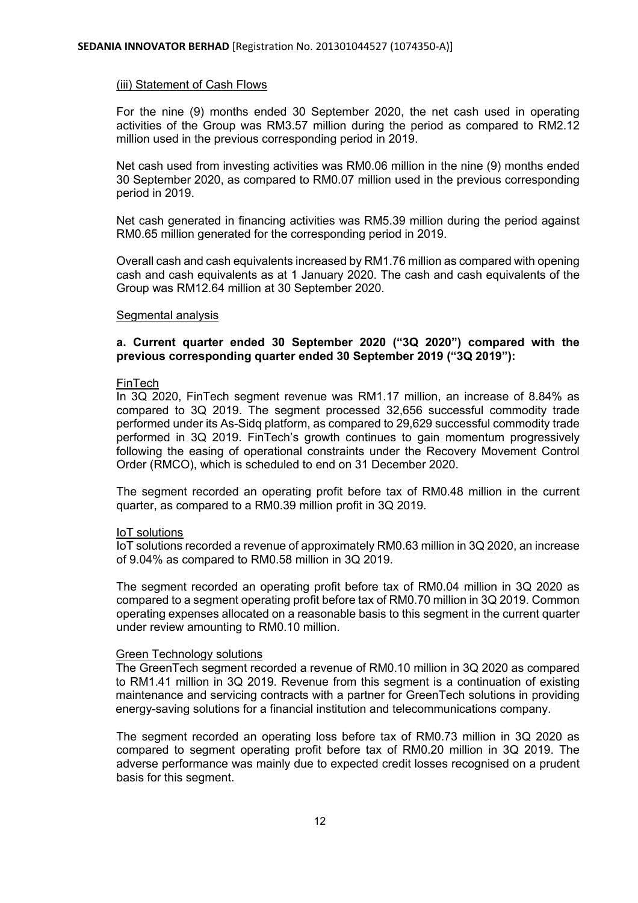## (iii) Statement of Cash Flows

For the nine (9) months ended 30 September 2020, the net cash used in operating activities of the Group was RM3.57 million during the period as compared to RM2.12 million used in the previous corresponding period in 2019.

Net cash used from investing activities was RM0.06 million in the nine (9) months ended 30 September 2020, as compared to RM0.07 million used in the previous corresponding period in 2019.

Net cash generated in financing activities was RM5.39 million during the period against RM0.65 million generated for the corresponding period in 2019.

Overall cash and cash equivalents increased by RM1.76 million as compared with opening cash and cash equivalents as at 1 January 2020. The cash and cash equivalents of the Group was RM12.64 million at 30 September 2020.

#### Segmental analysis

# **a. Current quarter ended 30 September 2020 ("3Q 2020") compared with the previous corresponding quarter ended 30 September 2019 ("3Q 2019"):**

#### FinTech

In 3Q 2020, FinTech segment revenue was RM1.17 million, an increase of 8.84% as compared to 3Q 2019. The segment processed 32,656 successful commodity trade performed under its As-Sidq platform, as compared to 29,629 successful commodity trade performed in 3Q 2019. FinTech's growth continues to gain momentum progressively following the easing of operational constraints under the Recovery Movement Control Order (RMCO), which is scheduled to end on 31 December 2020.

The segment recorded an operating profit before tax of RM0.48 million in the current quarter, as compared to a RM0.39 million profit in 3Q 2019.

#### IoT solutions

IoT solutions recorded a revenue of approximately RM0.63 million in 3Q 2020, an increase of 9.04% as compared to RM0.58 million in 3Q 2019.

The segment recorded an operating profit before tax of RM0.04 million in 3Q 2020 as compared to a segment operating profit before tax of RM0.70 million in 3Q 2019. Common operating expenses allocated on a reasonable basis to this segment in the current quarter under review amounting to RM0.10 million.

#### Green Technology solutions

The GreenTech segment recorded a revenue of RM0.10 million in 3Q 2020 as compared to RM1.41 million in 3Q 2019. Revenue from this segment is a continuation of existing maintenance and servicing contracts with a partner for GreenTech solutions in providing energy-saving solutions for a financial institution and telecommunications company.

The segment recorded an operating loss before tax of RM0.73 million in 3Q 2020 as compared to segment operating profit before tax of RM0.20 million in 3Q 2019. The adverse performance was mainly due to expected credit losses recognised on a prudent basis for this segment.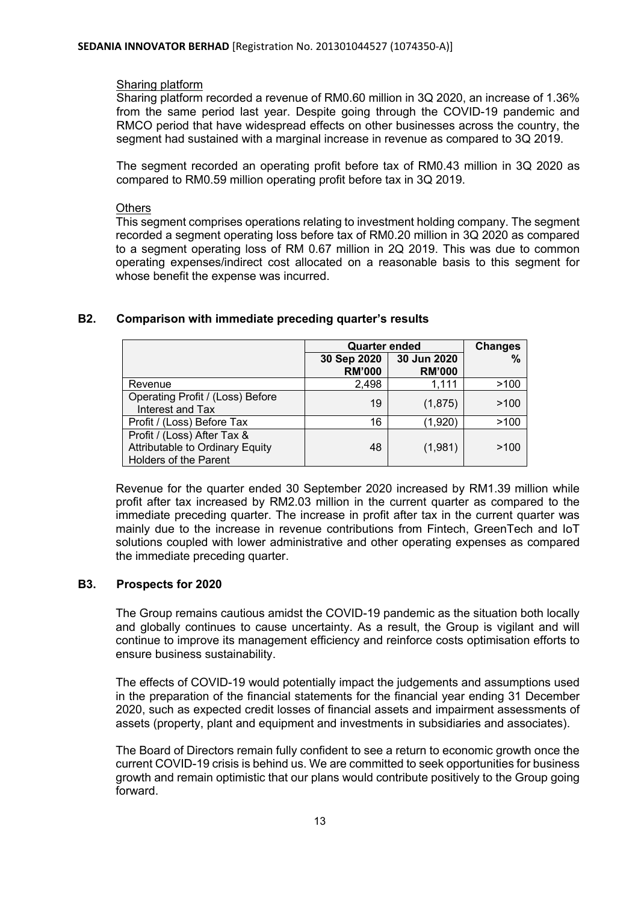## Sharing platform

Sharing platform recorded a revenue of RM0.60 million in 3Q 2020, an increase of 1.36% from the same period last year. Despite going through the COVID-19 pandemic and RMCO period that have widespread effects on other businesses across the country, the segment had sustained with a marginal increase in revenue as compared to 3Q 2019.

The segment recorded an operating profit before tax of RM0.43 million in 3Q 2020 as compared to RM0.59 million operating profit before tax in 3Q 2019.

## **Others**

This segment comprises operations relating to investment holding company. The segment recorded a segment operating loss before tax of RM0.20 million in 3Q 2020 as compared to a segment operating loss of RM 0.67 million in 2Q 2019. This was due to common operating expenses/indirect cost allocated on a reasonable basis to this segment for whose benefit the expense was incurred.

|                                                                                                | <b>Quarter ended</b>         | <b>Changes</b>               |      |
|------------------------------------------------------------------------------------------------|------------------------------|------------------------------|------|
|                                                                                                | 30 Sep 2020<br><b>RM'000</b> | 30 Jun 2020<br><b>RM'000</b> | %    |
| Revenue                                                                                        | 2,498                        | 1,111                        | >100 |
| Operating Profit / (Loss) Before<br>Interest and Tax                                           | 19                           | (1,875)                      | >100 |
| Profit / (Loss) Before Tax                                                                     | 16                           | (1,920)                      | >100 |
| Profit / (Loss) After Tax &<br>Attributable to Ordinary Equity<br><b>Holders of the Parent</b> | 48                           | (1,981)                      | >100 |

# **B2. Comparison with immediate preceding quarter's results**

Revenue for the quarter ended 30 September 2020 increased by RM1.39 million while profit after tax increased by RM2.03 million in the current quarter as compared to the immediate preceding quarter. The increase in profit after tax in the current quarter was mainly due to the increase in revenue contributions from Fintech, GreenTech and IoT solutions coupled with lower administrative and other operating expenses as compared the immediate preceding quarter.

# **B3. Prospects for 2020**

The Group remains cautious amidst the COVID-19 pandemic as the situation both locally and globally continues to cause uncertainty. As a result, the Group is vigilant and will continue to improve its management efficiency and reinforce costs optimisation efforts to ensure business sustainability.

The effects of COVID-19 would potentially impact the judgements and assumptions used in the preparation of the financial statements for the financial year ending 31 December 2020, such as expected credit losses of financial assets and impairment assessments of assets (property, plant and equipment and investments in subsidiaries and associates).

The Board of Directors remain fully confident to see a return to economic growth once the current COVID-19 crisis is behind us. We are committed to seek opportunities for business growth and remain optimistic that our plans would contribute positively to the Group going forward.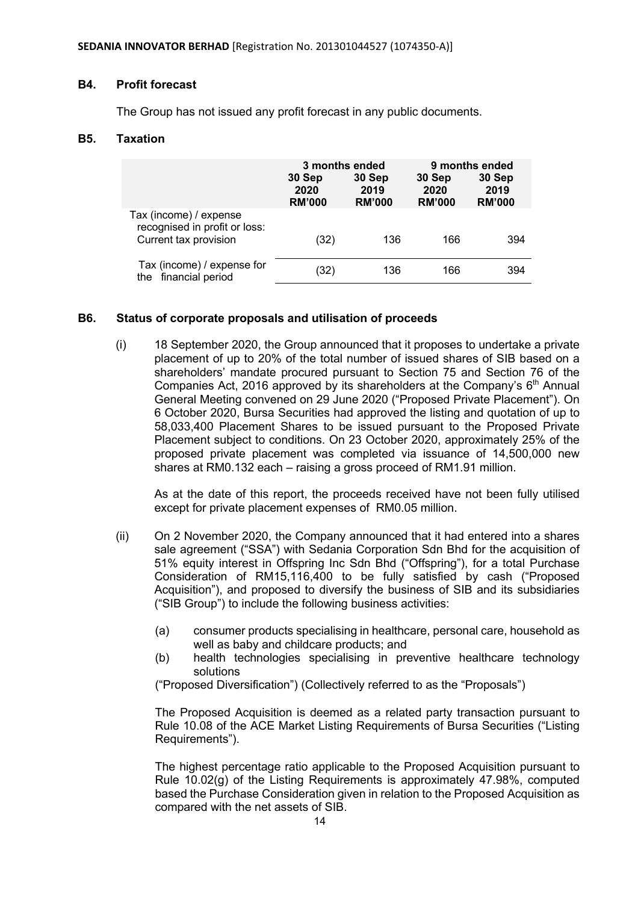#### **B4. Profit forecast**

The Group has not issued any profit forecast in any public documents.

#### **B5. Taxation**

|                                                                                  | 3 months ended<br>30 Sep<br>2020<br><b>RM'000</b> | 30 Sep<br>2019<br><b>RM'000</b> | 30 Sep<br>2020<br><b>RM'000</b> | 9 months ended<br>30 Sep<br>2019<br><b>RM'000</b> |
|----------------------------------------------------------------------------------|---------------------------------------------------|---------------------------------|---------------------------------|---------------------------------------------------|
| Tax (income) / expense<br>recognised in profit or loss:<br>Current tax provision | (32)                                              | 136                             | 166                             | 394                                               |
| Tax (income) / expense for<br>financial period<br>the                            | (32)                                              | 136                             | 166                             | 394                                               |

#### **B6. Status of corporate proposals and utilisation of proceeds**

(i) 18 September 2020, the Group announced that it proposes to undertake a private placement of up to 20% of the total number of issued shares of SIB based on a shareholders' mandate procured pursuant to Section 75 and Section 76 of the Companies Act, 2016 approved by its shareholders at the Company's  $6<sup>th</sup>$  Annual General Meeting convened on 29 June 2020 ("Proposed Private Placement"). On 6 October 2020, Bursa Securities had approved the listing and quotation of up to 58,033,400 Placement Shares to be issued pursuant to the Proposed Private Placement subject to conditions. On 23 October 2020, approximately 25% of the proposed private placement was completed via issuance of 14,500,000 new shares at RM0.132 each – raising a gross proceed of RM1.91 million.

As at the date of this report, the proceeds received have not been fully utilised except for private placement expenses of RM0.05 million.

- (ii) On 2 November 2020, the Company announced that it had entered into a shares sale agreement ("SSA") with Sedania Corporation Sdn Bhd for the acquisition of 51% equity interest in Offspring Inc Sdn Bhd ("Offspring"), for a total Purchase Consideration of RM15,116,400 to be fully satisfied by cash ("Proposed Acquisition"), and proposed to diversify the business of SIB and its subsidiaries ("SIB Group") to include the following business activities:
	- (a) consumer products specialising in healthcare, personal care, household as well as baby and childcare products; and
	- (b) health technologies specialising in preventive healthcare technology solutions

("Proposed Diversification") (Collectively referred to as the "Proposals")

The Proposed Acquisition is deemed as a related party transaction pursuant to Rule 10.08 of the ACE Market Listing Requirements of Bursa Securities ("Listing Requirements").

The highest percentage ratio applicable to the Proposed Acquisition pursuant to Rule 10.02(g) of the Listing Requirements is approximately 47.98%, computed based the Purchase Consideration given in relation to the Proposed Acquisition as compared with the net assets of SIB.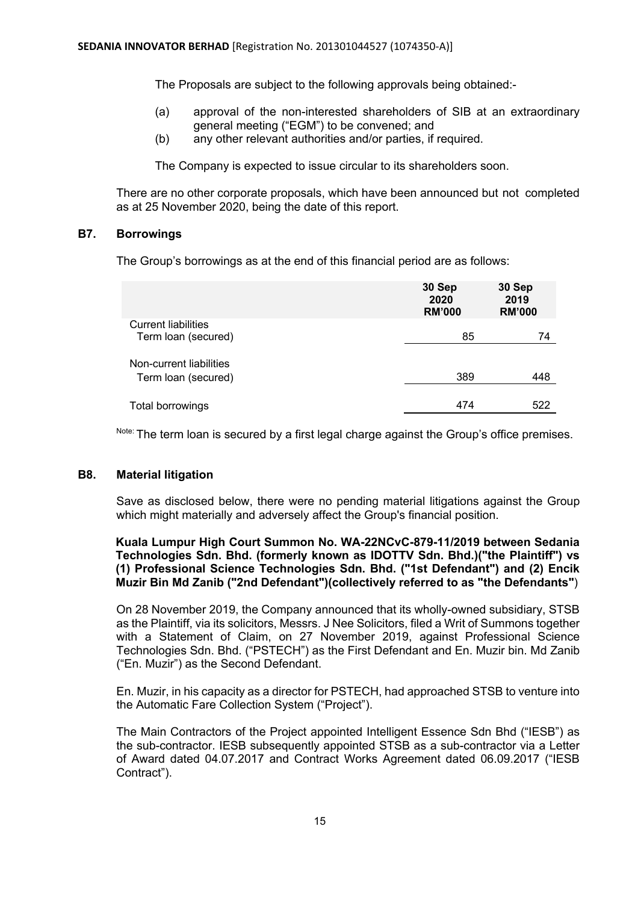The Proposals are subject to the following approvals being obtained:-

- (a) approval of the non-interested shareholders of SIB at an extraordinary general meeting ("EGM") to be convened; and
- (b) any other relevant authorities and/or parties, if required.

The Company is expected to issue circular to its shareholders soon.

There are no other corporate proposals, which have been announced but not completed as at 25 November 2020, being the date of this report.

## **B7. Borrowings**

The Group's borrowings as at the end of this financial period are as follows:

|                                                   | 30 Sep<br>2020<br><b>RM'000</b> | 30 Sep<br>2019<br><b>RM'000</b> |
|---------------------------------------------------|---------------------------------|---------------------------------|
| <b>Current liabilities</b><br>Term loan (secured) | 85                              | 74                              |
| Non-current liabilities<br>Term loan (secured)    | 389                             | 448                             |
| Total borrowings                                  | 474                             | 522                             |

Note: The term loan is secured by a first legal charge against the Group's office premises.

# **B8. Material litigation**

Save as disclosed below, there were no pending material litigations against the Group which might materially and adversely affect the Group's financial position.

## **Kuala Lumpur High Court Summon No. WA-22NCvC-879-11/2019 between Sedania Technologies Sdn. Bhd. (formerly known as IDOTTV Sdn. Bhd.)("the Plaintiff") vs (1) Professional Science Technologies Sdn. Bhd. ("1st Defendant") and (2) Encik Muzir Bin Md Zanib ("2nd Defendant")(collectively referred to as "the Defendants"**)

On 28 November 2019, the Company announced that its wholly-owned subsidiary, STSB as the Plaintiff, via its solicitors, Messrs. J Nee Solicitors, filed a Writ of Summons together with a Statement of Claim, on 27 November 2019, against Professional Science Technologies Sdn. Bhd. ("PSTECH") as the First Defendant and En. Muzir bin. Md Zanib ("En. Muzir") as the Second Defendant.

En. Muzir, in his capacity as a director for PSTECH, had approached STSB to venture into the Automatic Fare Collection System ("Project").

The Main Contractors of the Project appointed Intelligent Essence Sdn Bhd ("IESB") as the sub-contractor. IESB subsequently appointed STSB as a sub-contractor via a Letter of Award dated 04.07.2017 and Contract Works Agreement dated 06.09.2017 ("IESB Contract").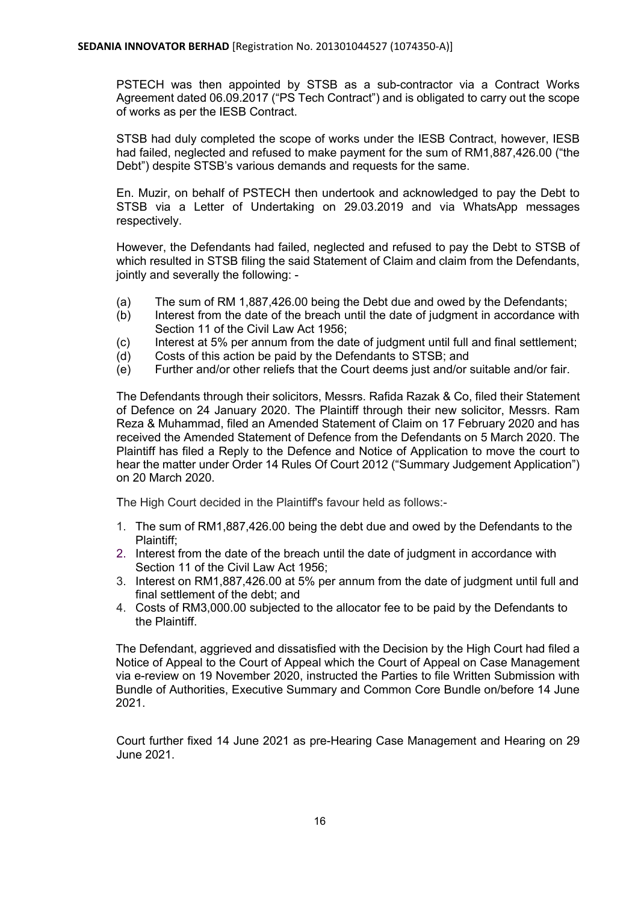PSTECH was then appointed by STSB as a sub-contractor via a Contract Works Agreement dated 06.09.2017 ("PS Tech Contract") and is obligated to carry out the scope of works as per the IESB Contract.

STSB had duly completed the scope of works under the IESB Contract, however, IESB had failed, neglected and refused to make payment for the sum of RM1,887,426.00 ("the Debt") despite STSB's various demands and requests for the same.

En. Muzir, on behalf of PSTECH then undertook and acknowledged to pay the Debt to STSB via a Letter of Undertaking on 29.03.2019 and via WhatsApp messages respectively.

However, the Defendants had failed, neglected and refused to pay the Debt to STSB of which resulted in STSB filing the said Statement of Claim and claim from the Defendants, jointly and severally the following: -

- (a) The sum of RM 1,887,426.00 being the Debt due and owed by the Defendants;
- (b) Interest from the date of the breach until the date of judgment in accordance with Section 11 of the Civil Law Act 1956;
- (c) Interest at 5% per annum from the date of judgment until full and final settlement;
- (d) Costs of this action be paid by the Defendants to STSB; and
- (e) Further and/or other reliefs that the Court deems just and/or suitable and/or fair.

The Defendants through their solicitors, Messrs. Rafida Razak & Co, filed their Statement of Defence on 24 January 2020. The Plaintiff through their new solicitor, Messrs. Ram Reza & Muhammad, filed an Amended Statement of Claim on 17 February 2020 and has received the Amended Statement of Defence from the Defendants on 5 March 2020. The Plaintiff has filed a Reply to the Defence and Notice of Application to move the court to hear the matter under Order 14 Rules Of Court 2012 ("Summary Judgement Application") on 20 March 2020.

The High Court decided in the Plaintiff's favour held as follows:-

- 1. The sum of RM1,887,426.00 being the debt due and owed by the Defendants to the Plaintiff;
- 2. Interest from the date of the breach until the date of judgment in accordance with Section 11 of the Civil Law Act 1956;
- 3. Interest on RM1,887,426.00 at 5% per annum from the date of judgment until full and final settlement of the debt; and
- 4. Costs of RM3,000.00 subjected to the allocator fee to be paid by the Defendants to the Plaintiff.

The Defendant, aggrieved and dissatisfied with the Decision by the High Court had filed a Notice of Appeal to the Court of Appeal which the Court of Appeal on Case Management via e-review on 19 November 2020, instructed the Parties to file Written Submission with Bundle of Authorities, Executive Summary and Common Core Bundle on/before 14 June 2021.

Court further fixed 14 June 2021 as pre-Hearing Case Management and Hearing on 29 June 2021.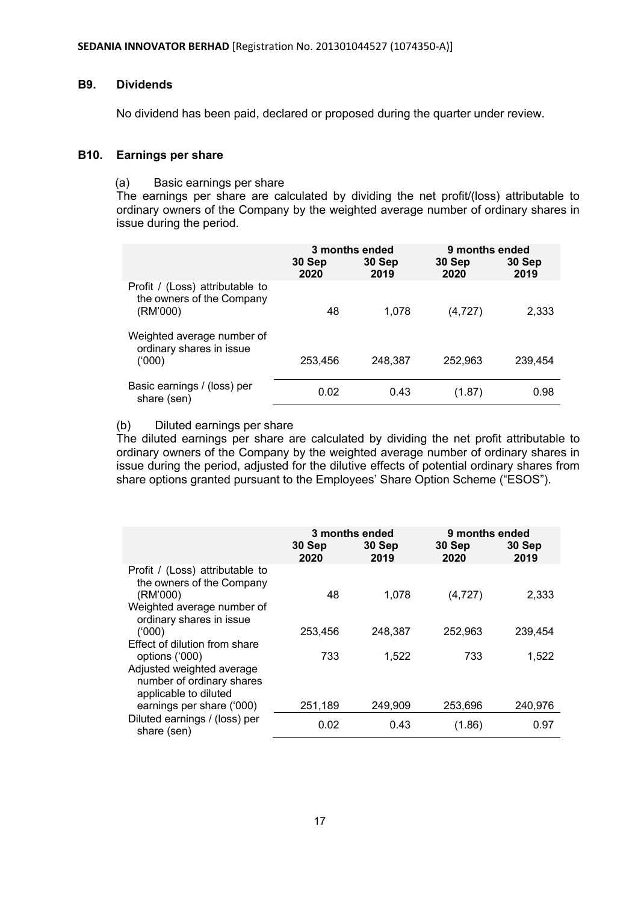## **B9. Dividends**

No dividend has been paid, declared or proposed during the quarter under review.

#### **B10. Earnings per share**

#### (a) Basic earnings per share

The earnings per share are calculated by dividing the net profit/(loss) attributable to ordinary owners of the Company by the weighted average number of ordinary shares in issue during the period.

|                                                                          | 3 months ended |                | 9 months ended |                |
|--------------------------------------------------------------------------|----------------|----------------|----------------|----------------|
|                                                                          | 30 Sep<br>2020 | 30 Sep<br>2019 | 30 Sep<br>2020 | 30 Sep<br>2019 |
| Profit / (Loss) attributable to<br>the owners of the Company<br>(RM'000) | 48             | 1.078          | (4, 727)       | 2,333          |
| Weighted average number of<br>ordinary shares in issue<br>(000)          | 253,456        | 248,387        | 252,963        | 239,454        |
| Basic earnings / (loss) per<br>share (sen)                               | 0.02           | 0.43           | (1.87)         | 0.98           |

## (b) Diluted earnings per share

The diluted earnings per share are calculated by dividing the net profit attributable to ordinary owners of the Company by the weighted average number of ordinary shares in issue during the period, adjusted for the dilutive effects of potential ordinary shares from share options granted pursuant to the Employees' Share Option Scheme ("ESOS").

|                                                                                                                                    | 30 Sep<br>2020 | 3 months ended<br>30 Sep<br>2019 | 9 months ended<br>30 Sep<br>2020 | 30 Sep<br>2019 |
|------------------------------------------------------------------------------------------------------------------------------------|----------------|----------------------------------|----------------------------------|----------------|
| Profit / (Loss) attributable to<br>the owners of the Company<br>(RM'000)<br>Weighted average number of<br>ordinary shares in issue | 48             | 1,078                            | (4, 727)                         | 2,333          |
| (000)                                                                                                                              | 253,456        | 248,387                          | 252,963                          | 239,454        |
| Effect of dilution from share<br>options ('000)                                                                                    | 733            | 1,522                            | 733                              | 1,522          |
| Adjusted weighted average<br>number of ordinary shares<br>applicable to diluted                                                    |                |                                  |                                  |                |
| earnings per share ('000)                                                                                                          | 251,189        | 249,909                          | 253,696                          | 240,976        |
| Diluted earnings / (loss) per<br>share (sen)                                                                                       | 0.02           | 0.43                             | (1.86)                           | 0.97           |